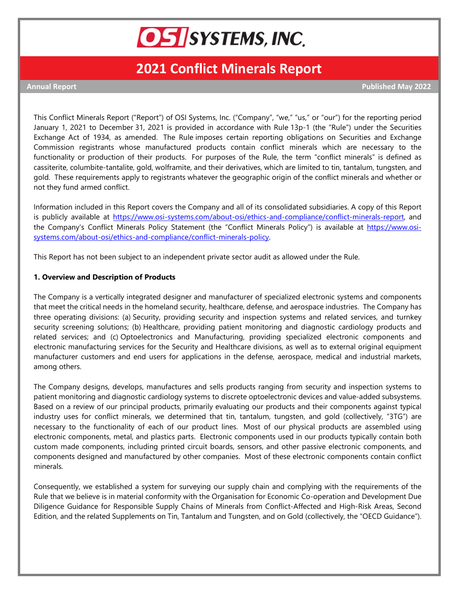

# **2021 Conflict Minerals Report**

**Annual Report Published May 2022**

This Conflict Minerals Report ("Report") of OSI Systems, Inc. ("Company", "we," "us," or "our") for the reporting period January 1, 2021 to December 31, 2021 is provided in accordance with Rule 13p-1 (the "Rule") under the Securities Exchange Act of 1934, as amended. The Rule imposes certain reporting obligations on Securities and Exchange Commission registrants whose manufactured products contain conflict minerals which are necessary to the functionality or production of their products. For purposes of the Rule, the term "conflict minerals" is defined as cassiterite, columbite-tantalite, gold, wolframite, and their derivatives, which are limited to tin, tantalum, tungsten, and gold. These requirements apply to registrants whatever the geographic origin of the conflict minerals and whether or not they fund armed conflict.

Information included in this Report covers the Company and all of its consolidated subsidiaries. A copy of this Report is publicly available at [https://www.osi-systems.com/about-osi/ethics-and-compliance/conflict-minerals-report,](https://www.osi-systems.com/about-osi/ethics-and-compliance/conflict-minerals-report) and the Company's Conflict Minerals Policy Statement (the "Conflict Minerals Policy") is available at [https://www.osi](https://www.osi-systems.com/about-osi/ethics-and-compliance/conflict-minerals-policy)[systems.com/about-osi/ethics-and-compliance/conflict-minerals-policy.](https://www.osi-systems.com/about-osi/ethics-and-compliance/conflict-minerals-policy)

This Report has not been subject to an independent private sector audit as allowed under the Rule.

#### **1. Overview and Description of Products**

The Company is a vertically integrated designer and manufacturer of specialized electronic systems and components that meet the critical needs in the homeland security, healthcare, defense, and aerospace industries. The Company has three operating divisions: (a) Security, providing security and inspection systems and related services, and turnkey security screening solutions; (b) Healthcare, providing patient monitoring and diagnostic cardiology products and related services; and (c) Optoelectronics and Manufacturing, providing specialized electronic components and electronic manufacturing services for the Security and Healthcare divisions, as well as to external original equipment manufacturer customers and end users for applications in the defense, aerospace, medical and industrial markets, among others.

The Company designs, develops, manufactures and sells products ranging from security and inspection systems to patient monitoring and diagnostic cardiology systems to discrete optoelectronic devices and value-added subsystems. Based on a review of our principal products, primarily evaluating our products and their components against typical industry uses for conflict minerals, we determined that tin, tantalum, tungsten, and gold (collectively, "3TG") are necessary to the functionality of each of our product lines. Most of our physical products are assembled using electronic components, metal, and plastics parts. Electronic components used in our products typically contain both custom made components, including printed circuit boards, sensors, and other passive electronic components, and components designed and manufactured by other companies. Most of these electronic components contain conflict minerals.

Consequently, we established a system for surveying our supply chain and complying with the requirements of the Rule that we believe is in material conformity with the Organisation for Economic Co-operation and Development Due Diligence Guidance for Responsible Supply Chains of Minerals from Conflict-Affected and High-Risk Areas, Second Edition, and the related Supplements on Tin, Tantalum and Tungsten, and on Gold (collectively, the "OECD Guidance").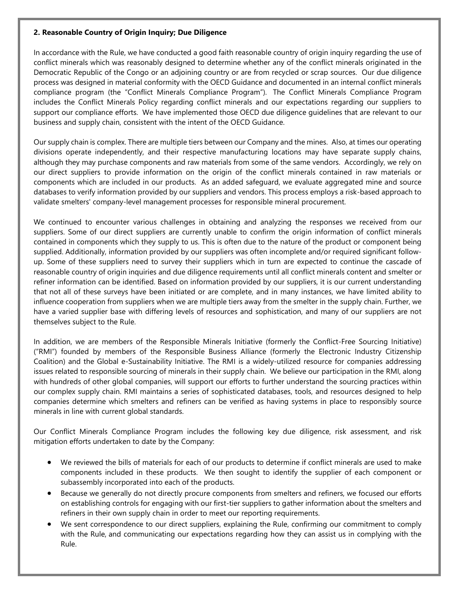## **2. Reasonable Country of Origin Inquiry; Due Diligence**

In accordance with the Rule, we have conducted a good faith reasonable country of origin inquiry regarding the use of conflict minerals which was reasonably designed to determine whether any of the conflict minerals originated in the Democratic Republic of the Congo or an adjoining country or are from recycled or scrap sources. Our due diligence process was designed in material conformity with the OECD Guidance and documented in an internal conflict minerals compliance program (the "Conflict Minerals Compliance Program"). The Conflict Minerals Compliance Program includes the Conflict Minerals Policy regarding conflict minerals and our expectations regarding our suppliers to support our compliance efforts. We have implemented those OECD due diligence guidelines that are relevant to our business and supply chain, consistent with the intent of the OECD Guidance.

Our supply chain is complex. There are multiple tiers between our Company and the mines. Also, at times our operating divisions operate independently, and their respective manufacturing locations may have separate supply chains, although they may purchase components and raw materials from some of the same vendors. Accordingly, we rely on our direct suppliers to provide information on the origin of the conflict minerals contained in raw materials or components which are included in our products. As an added safeguard, we evaluate aggregated mine and source databases to verify information provided by our suppliers and vendors. This process employs a risk-based approach to validate smelters' company-level management processes for responsible mineral procurement.

We continued to encounter various challenges in obtaining and analyzing the responses we received from our suppliers. Some of our direct suppliers are currently unable to confirm the origin information of conflict minerals contained in components which they supply to us. This is often due to the nature of the product or component being supplied. Additionally, information provided by our suppliers was often incomplete and/or required significant followup. Some of these suppliers need to survey their suppliers which in turn are expected to continue the cascade of reasonable country of origin inquiries and due diligence requirements until all conflict minerals content and smelter or refiner information can be identified. Based on information provided by our suppliers, it is our current understanding that not all of these surveys have been initiated or are complete, and in many instances, we have limited ability to influence cooperation from suppliers when we are multiple tiers away from the smelter in the supply chain. Further, we have a varied supplier base with differing levels of resources and sophistication, and many of our suppliers are not themselves subject to the Rule.

In addition, we are members of the Responsible Minerals Initiative (formerly the Conflict-Free Sourcing Initiative) ("RMI") founded by members of the Responsible Business Alliance (formerly the Electronic Industry Citizenship Coalition) and the Global e-Sustainability Initiative. The RMI is a widely-utilized resource for companies addressing issues related to responsible sourcing of minerals in their supply chain. We believe our participation in the RMI, along with hundreds of other global companies, will support our efforts to further understand the sourcing practices within our complex supply chain. RMI maintains a series of sophisticated databases, tools, and resources designed to help companies determine which smelters and refiners can be verified as having systems in place to responsibly source minerals in line with current global standards.

Our Conflict Minerals Compliance Program includes the following key due diligence, risk assessment, and risk mitigation efforts undertaken to date by the Company:

- We reviewed the bills of materials for each of our products to determine if conflict minerals are used to make components included in these products. We then sought to identify the supplier of each component or subassembly incorporated into each of the products.
- Because we generally do not directly procure components from smelters and refiners, we focused our efforts on establishing controls for engaging with our first-tier suppliers to gather information about the smelters and refiners in their own supply chain in order to meet our reporting requirements.
- We sent correspondence to our direct suppliers, explaining the Rule, confirming our commitment to comply with the Rule, and communicating our expectations regarding how they can assist us in complying with the Rule.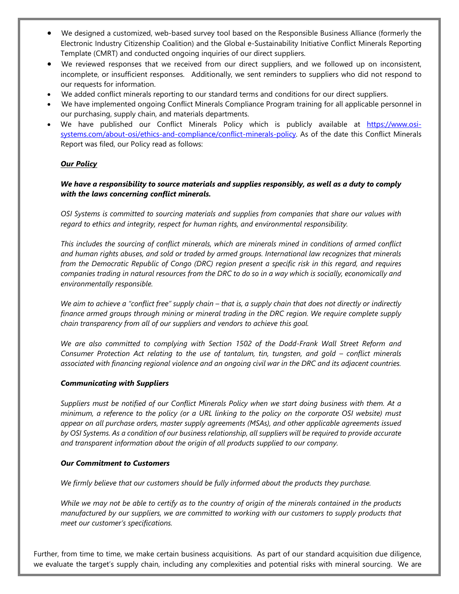- We designed a customized, web-based survey tool based on the Responsible Business Alliance (formerly the Electronic Industry Citizenship Coalition) and the Global e-Sustainability Initiative Conflict Minerals Reporting Template (CMRT) and conducted ongoing inquiries of our direct suppliers.
- We reviewed responses that we received from our direct suppliers, and we followed up on inconsistent, incomplete, or insufficient responses. Additionally, we sent reminders to suppliers who did not respond to our requests for information.
- We added conflict minerals reporting to our standard terms and conditions for our direct suppliers.
- We have implemented ongoing Conflict Minerals Compliance Program training for all applicable personnel in our purchasing, supply chain, and materials departments.
- We have published our Conflict Minerals Policy which is publicly available at [https://www.osi](https://www.osi-systems.com/about-osi/ethics-and-compliance/conflict-minerals-policy)[systems.com/about-osi/ethics-and-compliance/conflict-minerals-policy.](https://www.osi-systems.com/about-osi/ethics-and-compliance/conflict-minerals-policy) As of the date this Conflict Minerals Report was filed, our Policy read as follows:

## *Our Policy*

## *We have a responsibility to source materials and supplies responsibly, as well as a duty to comply with the laws concerning conflict minerals.*

*OSI Systems is committed to sourcing materials and supplies from companies that share our values with regard to ethics and integrity, respect for human rights, and environmental responsibility.*

*This includes the sourcing of conflict minerals, which are minerals mined in conditions of armed conflict and human rights abuses, and sold or traded by armed groups. International law recognizes that minerals from the Democratic Republic of Congo (DRC) region present a specific risk in this regard, and requires companies trading in natural resources from the DRC to do so in a way which is socially, economically and environmentally responsible.*

*We aim to achieve a "conflict free" supply chain – that is, a supply chain that does not directly or indirectly finance armed groups through mining or mineral trading in the DRC region. We require complete supply chain transparency from all of our suppliers and vendors to achieve this goal.*

*We are also committed to complying with Section 1502 of the Dodd-Frank Wall Street Reform and Consumer Protection Act relating to the use of tantalum, tin, tungsten, and gold – conflict minerals associated with financing regional violence and an ongoing civil war in the DRC and its adjacent countries.* 

## *Communicating with Suppliers*

*Suppliers must be notified of our Conflict Minerals Policy when we start doing business with them. At a minimum, a reference to the policy (or a URL linking to the policy on the corporate OSI website) must appear on all purchase orders, master supply agreements (MSAs), and other applicable agreements issued by OSI Systems. As a condition of our business relationship, all suppliers will be required to provide accurate and transparent information about the origin of all products supplied to our company.*

## *Our Commitment to Customers*

*We firmly believe that our customers should be fully informed about the products they purchase.* 

*While we may not be able to certify as to the country of origin of the minerals contained in the products manufactured by our suppliers, we are committed to working with our customers to supply products that meet our customer's specifications.*

Further, from time to time, we make certain business acquisitions. As part of our standard acquisition due diligence, we evaluate the target's supply chain, including any complexities and potential risks with mineral sourcing. We are